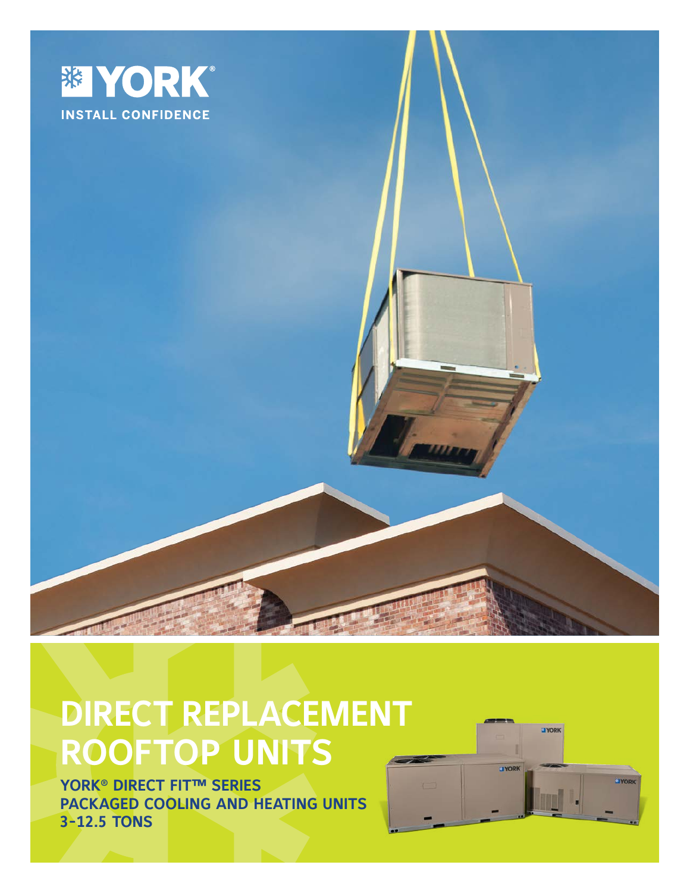

**ELYORK** 

**JYORK** 

**JYORK** 

# **DIRECT REPLACEMENT ROOFTOP UNITS**

**YORK® DIRECT FIT™ SERIES PACKAGED COOLING AND HEATING UNITS 3-12.5 TONS**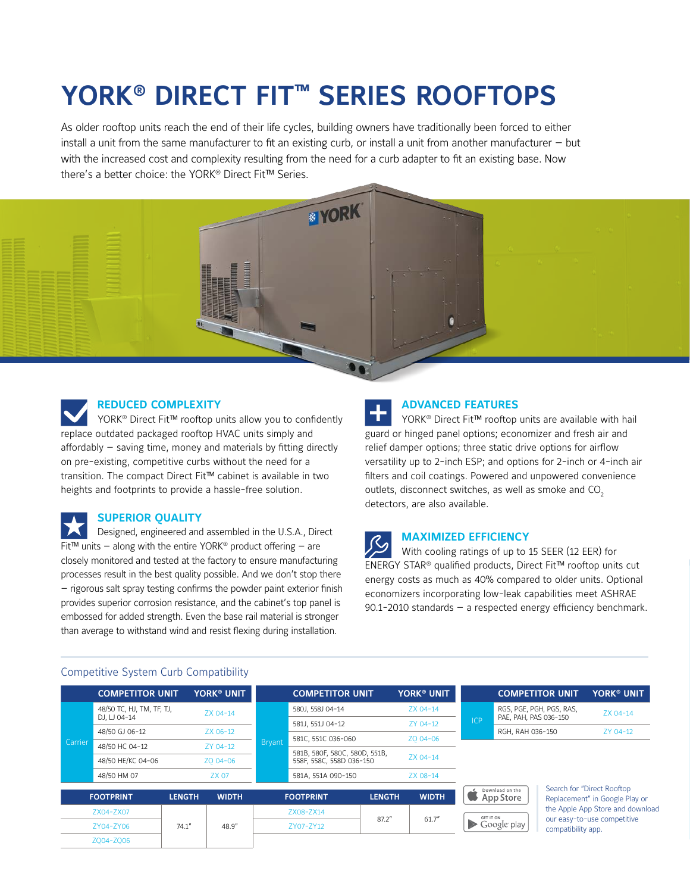## **YORK® DIRECT FIT™ SERIES ROOFTOPS**

As older rooftop units reach the end of their life cycles, building owners have traditionally been forced to either install a unit from the same manufacturer to fit an existing curb, or install a unit from another manufacturer — but with the increased cost and complexity resulting from the need for a curb adapter to fit an existing base. Now there's a better choice: the YORK® Direct Fit™ Series.



#### **REDUCED COMPLEXITY**

YORK<sup>®</sup> Direct Fit<sup>™</sup> rooftop units allow you to confidently replace outdated packaged rooftop HVAC units simply and affordably — saving time, money and materials by fitting directly on pre-existing, competitive curbs without the need for a transition. The compact Direct Fit™ cabinet is available in two heights and footprints to provide a hassle-free solution.

#### **SUPERIOR QUALITY**

Designed, engineered and assembled in the U.S.A., Direct Fit™ units – along with the entire YORK<sup>®</sup> product offering – are closely monitored and tested at the factory to ensure manufacturing processes result in the best quality possible. And we don't stop there — rigorous salt spray testing confirms the powder paint exterior finish provides superior corrosion resistance, and the cabinet's top panel is embossed for added strength. Even the base rail material is stronger than average to withstand wind and resist flexing during installation.

#### **ADVANCED FEATURES**

YORK<sup>®</sup> Direct Fit™ rooftop units are available with hail guard or hinged panel options; economizer and fresh air and relief damper options; three static drive options for airflow versatility up to 2-inch ESP; and options for 2-inch or 4-inch air filters and coil coatings. Powered and unpowered convenience outlets, disconnect switches, as well as smoke and CO<sub>2</sub> detectors, are also available.

#### **MAXIMIZED EFFICIENCY**

With cooling ratings of up to 15 SEER (12 EER) for ENERGY STAR® qualified products, Direct Fit™ rooftop units cut energy costs as much as 40% compared to older units. Optional economizers incorporating low-leak capabilities meet ASHRAE 90.1-2010 standards — a respected energy efficiency benchmark.

#### Competitive System Curb Compatibility

|                        | <b>COMPETITOR UNIT</b>                                |               | <b>YORK<sup>®</sup> UNIT</b> |               | <b>COMPETITOR UNIT</b>                         |               | <b>YORK<sup>®</sup> UNIT</b> |       |                       | <b>COMPETITOR UNIT</b>   | <b>YORK<sup>®</sup> UNIT</b>                                    |
|------------------------|-------------------------------------------------------|---------------|------------------------------|---------------|------------------------------------------------|---------------|------------------------------|-------|-----------------------|--------------------------|-----------------------------------------------------------------|
| Carrier                | 48/50 TC, HJ, TM, TF, TJ,<br>DJ. $\sqcup$ 04-14       |               | ZX 04-14                     |               | 580J, 558J 04-14                               |               | ZX 04-14                     |       |                       | RGS, PGE, PGH, PGS, RAS, | ZX 04-14                                                        |
|                        |                                                       |               |                              |               | 581J, 551J 04-12                               |               | ZY 04-12                     | ICP   | PAE, PAH, PAS 036-150 |                          | ZY 04-12                                                        |
|                        | 48/50 GJ 06-12<br>48/50 HC 04-12<br>48/50 HE/KC 04-06 |               | ZX 06-12                     |               | 581C, 551C 036-060                             | ZO 04-06      |                              |       | RGH, RAH 036-150      |                          |                                                                 |
|                        |                                                       |               | ZY 04-12                     | <b>Bryant</b> | 581B, 580F, 580C, 580D, 551B,                  |               |                              |       |                       |                          |                                                                 |
|                        |                                                       |               | ZO 04-06                     |               | 558F, 558C, 558D 036-150<br>581A, 551A 090-150 |               | ZX 04-14                     |       |                       |                          |                                                                 |
|                        | 48/50 HM 07                                           |               | ZX 07                        |               |                                                |               | ZX 08-14                     |       |                       |                          |                                                                 |
|                        |                                                       |               |                              |               |                                                |               |                              |       | Download on the       |                          | Search for "Direct Rooftop                                      |
|                        | <b>FOOTPRINT</b>                                      | <b>LENGTH</b> | <b>WIDTH</b>                 |               | <b>FOOTPRINT</b>                               | <b>LENGTH</b> | <b>WIDTH</b>                 |       | App Store             |                          | Replacement" in Google Play or                                  |
| ZX04-ZX07<br>ZY04-ZY06 |                                                       |               |                              |               | ZX08-ZX14                                      |               | 61.7''                       |       | <b>GET IT ON</b>      | compatibility app.       | the Apple App Store and download<br>our easy-to-use competitive |
|                        |                                                       | 74.1"         | 48.9"                        |               | ZY07-ZY12                                      | 87.2"         |                              | $\gg$ | Google play           |                          |                                                                 |
|                        | ZO04-ZO06                                             |               |                              |               |                                                |               |                              |       |                       |                          |                                                                 |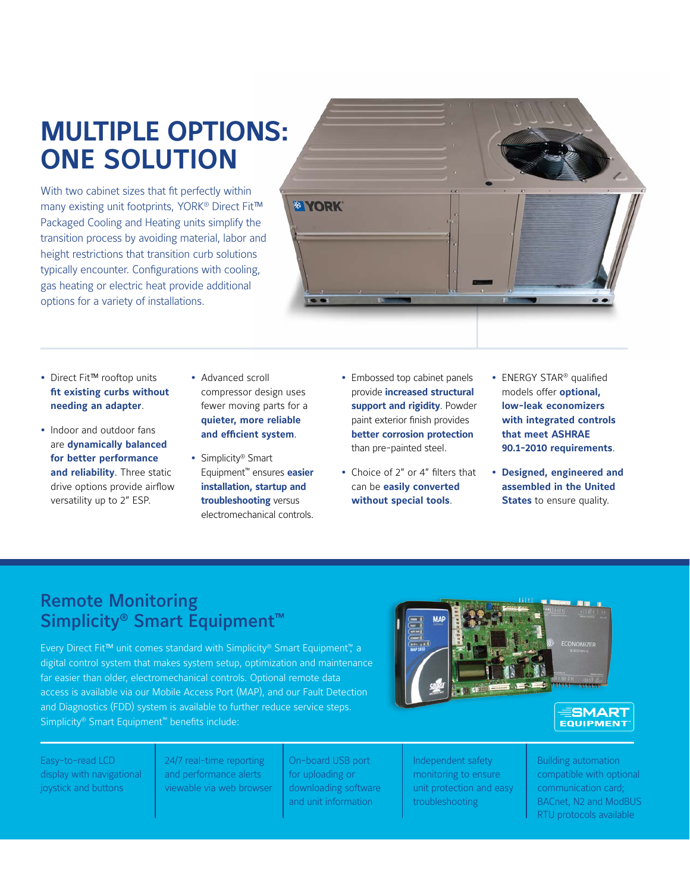## **MULTIPLE OPTIONS: ONE SOLUTION**

With two cabinet sizes that fit perfectly within many existing unit footprints, YORK<sup>®</sup> Direct Fit™ Packaged Cooling and Heating units simplify the transition process by avoiding material, labor and height restrictions that transition curb solutions typically encounter. Configurations with cooling, gas heating or electric heat provide additional options for a variety of installations.



- Direct Fit™ rooftop units **fit existing curbs without needing an adapter**.
- Indoor and outdoor fans are **dynamically balanced for better performance and reliability**. Three static drive options provide airflow versatility up to 2" ESP.
- Advanced scroll compressor design uses fewer moving parts for a **quieter, more reliable and efficient system**.
- Simplicity<sup>®</sup> Smart Equipment™ ensures **easier installation, startup and troubleshooting** versus electromechanical controls.
- Embossed top cabinet panels provide **increased structural support and rigidity**. Powder paint exterior finish provides **better corrosion protection**  than pre-painted steel.
- Choice of 2" or 4" filters that can be **easily converted without special tools**.
- ENERGY STAR® qualified models offer **optional, low-leak economizers with integrated controls that meet ASHRAE 90.1-2010 requirements**.
- **Designed, engineered and assembled in the United States** to ensure quality.

### Remote Monitoring Simplicity<sup>®</sup> Smart Equipment<sup>™</sup>

Every Direct Fit™ unit comes standard with Simplicity® Smart Equipment™, a digital control system that makes system setup, optimization and maintenance far easier than older, electromechanical controls. Optional remote data access is available via our Mobile Access Port (MAP), and our Fault Detection and Diagnostics (FDD) system is available to further reduce service steps. Simplicity® Smart Equipment™ benefits include:





Easy-to-read LCD display with navigational joystick and buttons

24/7 real-time reporting and performance alerts viewable via web browser

On-board USB port for uploading or downloading software and unit information

Independent safety monitoring to ensure unit protection and easy troubleshooting

Building automation compatible with optional communication card; BACnet, N2 and ModBUS RTU protocols available